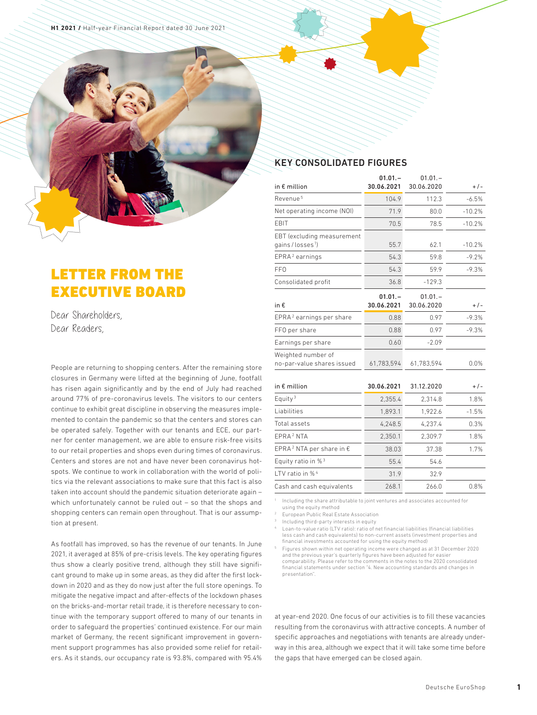## LETTER FROM THE EXECUTIVE BOARD

Dear Shareholders, Dear Readers,

People are returning to shopping centers. After the remaining store closures in Germany were lifted at the beginning of June, footfall has risen again significantly and by the end of July had reached around 77% of pre-coronavirus levels. The visitors to our centers continue to exhibit great discipline in observing the measures implemented to contain the pandemic so that the centers and stores can be operated safely. Together with our tenants and ECE, our partner for center management, we are able to ensure risk-free visits to our retail properties and shops even during times of coronavirus. Centers and stores are not and have never been coronavirus hotspots. We continue to work in collaboration with the world of politics via the relevant associations to make sure that this fact is also taken into account should the pandemic situation deteriorate again – which unfortunately cannot be ruled out – so that the shops and shopping centers can remain open throughout. That is our assumption at present.

As footfall has improved, so has the revenue of our tenants. In June 2021, it averaged at 85% of pre-crisis levels. The key operating figures thus show a clearly positive trend, although they still have significant ground to make up in some areas, as they did after the first lockdown in 2020 and as they do now just after the full store openings. To mitigate the negative impact and after-effects of the lockdown phases on the bricks-and-mortar retail trade, it is therefore necessary to continue with the temporary support offered to many of our tenants in order to safeguard the properties' continued existence. For our main market of Germany, the recent significant improvement in government support programmes has also provided some relief for retailers. As it stands, our occupancy rate is 93.8%, compared with 95.4%

## KEY CONSOLIDATED FIGURES

| in $\epsilon$ million                                     | $01.01 -$<br>30.06.2021 | $01.01 -$<br>30.06.2020 | $+/-$    |
|-----------------------------------------------------------|-------------------------|-------------------------|----------|
| Revenue <sup>5</sup>                                      | 104.9                   | 112.3                   | $-6.5%$  |
| Net operating income (NOI)                                | 71.9                    | 80.0                    | $-10.2%$ |
| EBIT                                                      | 70.5                    | 78.5                    | $-10.2%$ |
| EBT (excluding measurement<br>gains/losses <sup>1</sup> ) | 55.7                    | 62.1                    | $-10.2%$ |
| EPRA <sup>2</sup> earnings                                | 54.3                    | 59.8                    | $-9.2%$  |
| FF <sub>0</sub>                                           | 54.3                    | 59.9                    | $-9.3%$  |
| Consolidated profit                                       | 36.8                    | $-129.3$                |          |
| in €                                                      | $01.01 -$<br>30.06.2021 | $01.01 -$<br>30.06.2020 | $+/-$    |
| EPRA <sup>2</sup> earnings per share                      | 0.88                    | 0.97                    | $-9.3%$  |
| FFO per share                                             | 0.88                    | 0.97                    | $-9.3%$  |
| Earnings per share                                        | 0.60                    | $-2.09$                 |          |
| Weighted number of<br>no-par-value shares issued          | 61,783,594              | 61,783,594              | 0.0%     |
| in $\epsilon$ million                                     | 30.06.2021              | 31.12.2020              | $+/-$    |
| Equity <sup>3</sup>                                       | 2,355.4                 | 2,314.8                 | 1.8%     |
| Liabilities                                               | 1,893.1                 | 1,922.6                 | $-1.5%$  |
| Total assets                                              | 4,248.5                 | 4,237.4                 | 0.3%     |
| EPRA <sup>2</sup> NTA                                     | 2,350.1                 | 2,309.7                 | 1.8%     |
| EPRA <sup>2</sup> NTA per share in $\epsilon$             | 38.03                   | 37.38                   | 1.7%     |
| Equity ratio in % <sup>3</sup>                            | 55.4                    | 54.6                    |          |
| LTV ratio in % <sup>4</sup>                               | 31.9                    | 32.9                    |          |
| Cash and cash equivalents                                 | 268.1                   | 266.0                   | 0.8%     |

<sup>1</sup> Including the share attributable to joint ventures and associates accounted for

using the equity method

<sup>2</sup> European Public Real Estate Association<br><sup>3</sup> Including third party interacts in equity

Including third-party interests in equity

<sup>4</sup> Loan-to-value ratio (LTV ratio): ratio of net financial liabilities (financial liabilities less cash and cash equivalents) to non-current assets (investment properties and financial investments accounted for using the equity method)

<sup>5</sup> Figures shown within net operating income were changed as at 31 December 2020 and the previous year's quarterly figures have been adjusted for easie comparability. Please refer to the comments in the notes to the 2020 consolidated financial statements under section "4. New accounting standards and changes in presentation".

at year-end 2020. One focus of our activities is to fill these vacancies resulting from the coronavirus with attractive concepts. A number of specific approaches and negotiations with tenants are already underway in this area, although we expect that it will take some time before the gaps that have emerged can be closed again.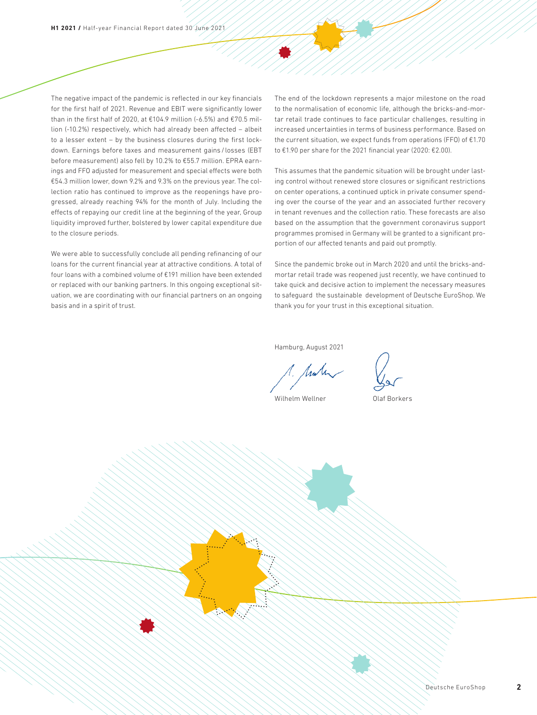The negative impact of the pandemic is reflected in our key financials for the first half of 2021. Revenue and EBIT were significantly lower than in the first half of 2020, at €104.9 million (-6.5%) and €70.5 million (-10.2%) respectively, which had already been affected – albeit to a lesser extent – by the business closures during the first lockdown. Earnings before taxes and measurement gains / losses (EBT before measurement) also fell by 10.2% to €55.7 million. EPRA earnings and FFO adjusted for measurement and special effects were both €54.3 million lower, down 9.2% and 9.3% on the previous year. The collection ratio has continued to improve as the reopenings have progressed, already reaching 94% for the month of July. Including the effects of repaying our credit line at the beginning of the year, Group liquidity improved further, bolstered by lower capital expenditure due to the closure periods.

We were able to successfully conclude all pending refinancing of our loans for the current financial year at attractive conditions. A total of four loans with a combined volume of €191 million have been extended or replaced with our banking partners. In this ongoing exceptional situation, we are coordinating with our financial partners on an ongoing basis and in a spirit of trust.

The end of the lockdown represents a major milestone on the road to the normalisation of economic life, although the bricks-and-mortar retail trade continues to face particular challenges, resulting in increased uncertainties in terms of business performance. Based on the current situation, we expect funds from operations (FFO) of  $£1.70$ to €1.90 per share for the 2021 financial year (2020: €2.00).

This assumes that the pandemic situation will be brought under lasting control without renewed store closures or significant restrictions on center operations, a continued uptick in private consumer spending over the course of the year and an associated further recovery in tenant revenues and the collection ratio. These forecasts are also based on the assumption that the government coronavirus support programmes promised in Germany will be granted to a significant proportion of our affected tenants and paid out promptly.

Since the pandemic broke out in March 2020 and until the bricks-andmortar retail trade was reopened just recently, we have continued to take quick and decisive action to implement the necessary measures to safeguard the sustainable development of Deutsche EuroShop. We thank you for your trust in this exceptional situation.

Hamburg, August 2021

Wilhelm Wellner **Canadia** Olaf Borkers

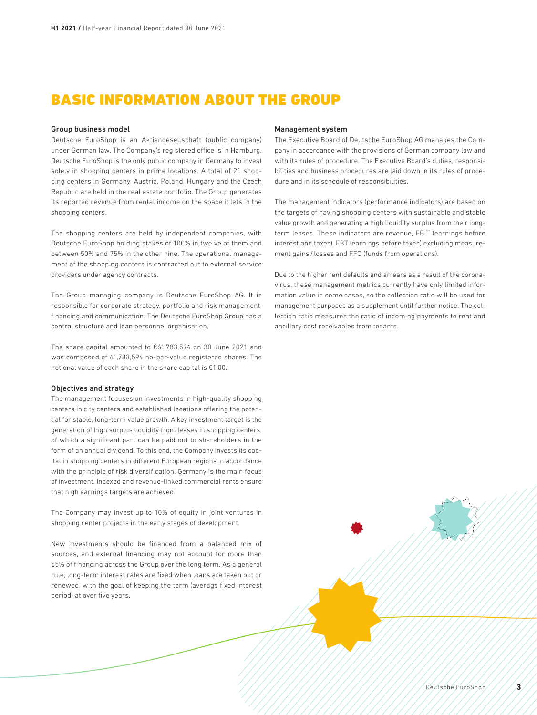## BASIC INFORMATION ABOUT THE GROUP

#### Group business model

Deutsche EuroShop is an Aktiengesellschaft (public company) under German law. The Company's registered office is in Hamburg. Deutsche EuroShop is the only public company in Germany to invest solely in shopping centers in prime locations. A total of 21 shopping centers in Germany, Austria, Poland, Hungary and the Czech Republic are held in the real estate portfolio. The Group generates its reported revenue from rental income on the space it lets in the shopping centers.

The shopping centers are held by independent companies, with Deutsche EuroShop holding stakes of 100% in twelve of them and between 50% and 75% in the other nine. The operational management of the shopping centers is contracted out to external service providers under agency contracts.

The Group managing company is Deutsche EuroShop AG. It is responsible for corporate strategy, portfolio and risk management, financing and communication. The Deutsche EuroShop Group has a central structure and lean personnel organisation.

The share capital amounted to €61,783,594 on 30 June 2021 and was composed of 61,783,594 no-par-value registered shares. The notional value of each share in the share capital is €1.00.

#### Objectives and strategy

The management focuses on investments in high-quality shopping centers in city centers and established locations offering the potential for stable, long-term value growth. A key investment target is the generation of high surplus liquidity from leases in shopping centers, of which a significant part can be paid out to shareholders in the form of an annual dividend. To this end, the Company invests its capital in shopping centers in different European regions in accordance with the principle of risk diversification. Germany is the main focus of investment. Indexed and revenue-linked commercial rents ensure that high earnings targets are achieved.

The Company may invest up to 10% of equity in joint ventures in shopping center projects in the early stages of development.

New investments should be financed from a balanced mix of sources, and external financing may not account for more than 55% of financing across the Group over the long term. As a general rule, long-term interest rates are fixed when loans are taken out or renewed, with the goal of keeping the term (average fixed interest period) at over five years.

#### Management system

The Executive Board of Deutsche EuroShop AG manages the Company in accordance with the provisions of German company law and with its rules of procedure. The Executive Board's duties, responsibilities and business procedures are laid down in its rules of procedure and in its schedule of responsibilities.

The management indicators (performance indicators) are based on the targets of having shopping centers with sustainable and stable value growth and generating a high liquidity surplus from their longterm leases. These indicators are revenue, EBIT (earnings before interest and taxes), EBT (earnings before taxes) excluding measurement gains / losses and FFO (funds from operations).

Due to the higher rent defaults and arrears as a result of the coronavirus, these management metrics currently have only limited information value in some cases, so the collection ratio will be used for management purposes as a supplement until further notice. The collection ratio measures the ratio of incoming payments to rent and ancillary cost receivables from tenants.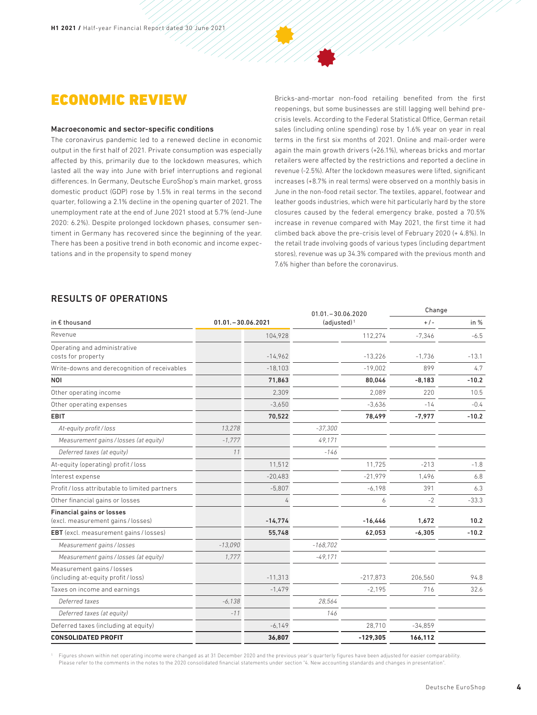## ECONOMIC REVIEW

#### Macroeconomic and sector-specific conditions

The coronavirus pandemic led to a renewed decline in economic output in the first half of 2021. Private consumption was especially affected by this, primarily due to the lockdown measures, which lasted all the way into June with brief interruptions and regional differences. In Germany, Deutsche EuroShop's main market, gross domestic product (GDP) rose by 1.5% in real terms in the second quarter, following a 2.1% decline in the opening quarter of 2021. The unemployment rate at the end of June 2021 stood at 5.7% (end-June 2020: 6.2%). Despite prolonged lockdown phases, consumer sentiment in Germany has recovered since the beginning of the year. There has been a positive trend in both economic and income expectations and in the propensity to spend money

Bricks-and-mortar non-food retailing benefited from the first reopenings, but some businesses are still lagging well behind precrisis levels. According to the Federal Statistical Office, German retail sales (including online spending) rose by 1.6% year on year in real terms in the first six months of 2021. Online and mail-order were again the main growth drivers (+26.1%), whereas bricks and mortar retailers were affected by the restrictions and reported a decline in revenue (-2.5%). After the lockdown measures were lifted, significant increases (+8.7% in real terms) were observed on a monthly basis in June in the non-food retail sector. The textiles, apparel, footwear and leather goods industries, which were hit particularly hard by the store closures caused by the federal emergency brake, posted a 70.5% increase in revenue compared with May 2021, the first time it had climbed back above the pre-crisis level of February 2020 (+ 4.8%). In the retail trade involving goods of various types (including department stores), revenue was up 34.3% compared with the previous month and 7.6% higher than before the coronavirus.

## RESULTS OF OPERATIONS

|                                                                        |                      |           | $01.01 - 30.06.2020$ |            | Change    |         |
|------------------------------------------------------------------------|----------------------|-----------|----------------------|------------|-----------|---------|
| in € thousand                                                          | $01.01 - 30.06.2021$ |           | $(adjusted)^1$       |            | $+$ / -   | in $%$  |
| Revenue                                                                |                      | 104,928   |                      | 112,274    | $-7,346$  | $-6.5$  |
| Operating and administrative<br>costs for property                     |                      | $-14,962$ |                      | $-13,226$  | $-1.736$  | $-13.1$ |
| Write-downs and derecognition of receivables                           |                      | $-18.103$ |                      | $-19.002$  | 899       | 4.7     |
| NOI                                                                    |                      | 71,863    |                      | 80,046     | $-8,183$  | $-10.2$ |
| Other operating income                                                 |                      | 2.309     |                      | 2.089      | 220       | 10.5    |
| Other operating expenses                                               |                      | $-3.650$  |                      | $-3.636$   | $-14$     | $-0.4$  |
| <b>EBIT</b>                                                            |                      | 70,522    |                      | 78,499     | $-7,977$  | $-10.2$ |
| At-equity profit/loss                                                  | 13,278               |           | $-37,300$            |            |           |         |
| Measurement gains / losses (at equity)                                 | $-1.777$             |           | 49.171               |            |           |         |
| Deferred taxes (at equity)                                             | 11                   |           | $-146$               |            |           |         |
| At-equity (operating) profit / loss                                    |                      | 11,512    |                      | 11,725     | $-213$    | $-1.8$  |
| Interest expense                                                       |                      | $-20,483$ |                      | $-21.979$  | 1.496     | 6.8     |
| Profit / loss attributable to limited partners                         |                      | $-5,807$  |                      | $-6,198$   | 391       | 6.3     |
| Other financial gains or losses                                        |                      |           |                      | 6          | $-2$      | $-33.3$ |
| <b>Financial gains or losses</b><br>(excl. measurement gains / losses) |                      | $-14.774$ |                      | $-16.446$  | 1.672     | 10.2    |
| <b>EBT</b> (excl. measurement gains / losses)                          |                      | 55,748    |                      | 62,053     | $-6,305$  | $-10.2$ |
| Measurement gains / losses                                             | $-13,090$            |           | $-168,702$           |            |           |         |
| Measurement gains / losses (at equity)                                 | 1,777                |           | $-49,171$            |            |           |         |
| Measurement gains / losses<br>(including at-equity profit / loss)      |                      | $-11,313$ |                      | $-217,873$ | 206,560   | 94.8    |
| Taxes on income and earnings                                           |                      | $-1,479$  |                      | $-2,195$   | 716       | 32.6    |
| Deferred taxes                                                         | $-6.138$             |           | 28.564               |            |           |         |
| Deferred taxes (at equity)                                             | $-11$                |           | 146                  |            |           |         |
| Deferred taxes (including at equity)                                   |                      | $-6.149$  |                      | 28,710     | $-34,859$ |         |
| <b>CONSOLIDATED PROFIT</b>                                             |                      | 36,807    |                      | $-129,305$ | 166,112   |         |

<sup>1</sup> Figures shown within net operating income were changed as at 31 December 2020 and the previous year's quarterly figures have been adjusted for easier comparability. Please refer to the comments in the notes to the 2020 consolidated financial statements under section "4. New accounting standards and changes in presentation".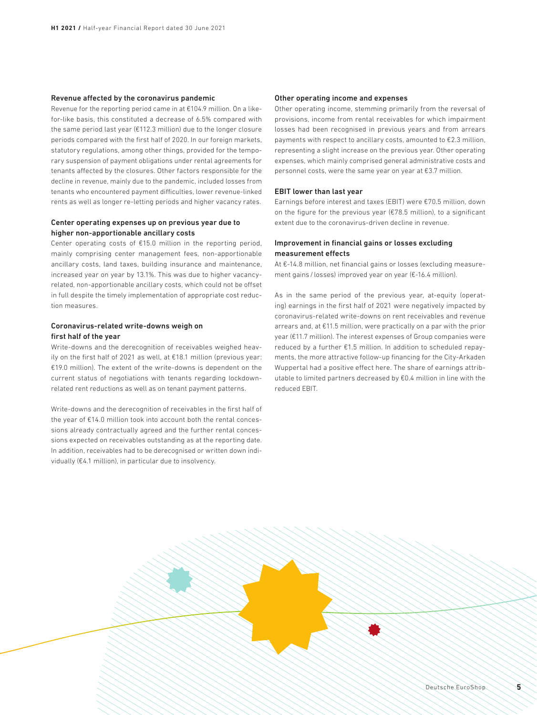#### Revenue affected by the coronavirus pandemic

Revenue for the reporting period came in at €104.9 million. On a likefor-like basis, this constituted a decrease of 6.5% compared with the same period last year (€112.3 million) due to the longer closure periods compared with the first half of 2020. In our foreign markets, statutory regulations, among other things, provided for the temporary suspension of payment obligations under rental agreements for tenants affected by the closures. Other factors responsible for the decline in revenue, mainly due to the pandemic, included losses from tenants who encountered payment difficulties, lower revenue-linked rents as well as longer re-letting periods and higher vacancy rates.

### Center operating expenses up on previous year due to higher non-apportionable ancillary costs

Center operating costs of €15.0 million in the reporting period, mainly comprising center management fees, non-apportionable ancillary costs, land taxes, building insurance and maintenance, increased year on year by 13.1%. This was due to higher vacancyrelated, non-apportionable ancillary costs, which could not be offset in full despite the timely implementation of appropriate cost reduction measures.

#### Coronavirus-related write-downs weigh on first half of the year

Write-downs and the derecognition of receivables weighed heavily on the first half of 2021 as well, at €18.1 million (previous year: €19.0 million). The extent of the write-downs is dependent on the current status of negotiations with tenants regarding lockdownrelated rent reductions as well as on tenant payment patterns.

Write-downs and the derecognition of receivables in the first half of the year of €14.0 million took into account both the rental concessions already contractually agreed and the further rental concessions expected on receivables outstanding as at the reporting date. In addition, receivables had to be derecognised or written down individually (€4.1 million), in particular due to insolvency.

#### Other operating income and expenses

Other operating income, stemming primarily from the reversal of provisions, income from rental receivables for which impairment losses had been recognised in previous years and from arrears payments with respect to ancillary costs, amounted to €2.3 million, representing a slight increase on the previous year. Other operating expenses, which mainly comprised general administrative costs and personnel costs, were the same year on year at €3.7 million.

#### EBIT lower than last year

Earnings before interest and taxes (EBIT) were €70.5 million, down on the figure for the previous year ( $E$ 78.5 million), to a significant extent due to the coronavirus-driven decline in revenue.

### Improvement in financial gains or losses excluding measurement effects

At €-14.8 million, net financial gains or losses (excluding measurement gains / losses) improved year on year (€-16.4 million).

As in the same period of the previous year, at-equity (operating) earnings in the first half of 2021 were negatively impacted by coronavirus-related write-downs on rent receivables and revenue arrears and, at €11.5 million, were practically on a par with the prior year (€11.7 million). The interest expenses of Group companies were reduced by a further €1.5 million. In addition to scheduled repayments, the more attractive follow-up financing for the City-Arkaden Wuppertal had a positive effect here. The share of earnings attributable to limited partners decreased by €0.4 million in line with the reduced EBIT.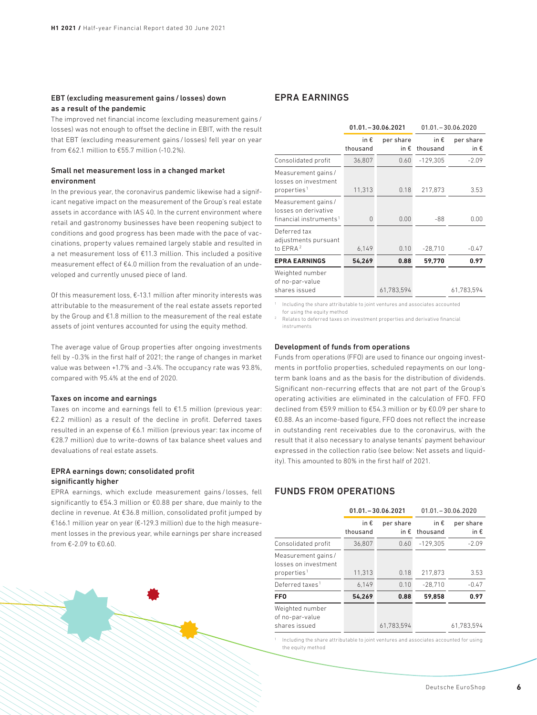### EBT (excluding measurement gains/ losses) down as a result of the pandemic

The improved net financial income (excluding measurement gains / losses) was not enough to offset the decline in FBIT, with the result that EBT (excluding measurement gains / losses) fell year on year from  $\epsilon$ 62.1 million to  $\epsilon$ 55.7 million (-10.2%).

### Small net measurement loss in a changed market environment

In the previous year, the coronavirus pandemic likewise had a significant negative impact on the measurement of the Group's real estate assets in accordance with IAS 40. In the current environment where retail and gastronomy businesses have been reopening subject to conditions and good progress has been made with the pace of vaccinations, property values remained largely stable and resulted in a net measurement loss of €11.3 million. This included a positive measurement effect of €4.0 million from the revaluation of an undeveloped and currently unused piece of land.

Of this measurement loss, €-13.1 million after minority interests was attributable to the measurement of the real estate assets reported by the Group and €1.8 million to the measurement of the real estate assets of joint ventures accounted for using the equity method.

The average value of Group properties after ongoing investments fell by -0.3% in the first half of 2021; the range of changes in market value was between +1.7% and -3.4%. The occupancy rate was 93.8%, compared with 95.4% at the end of 2020.

#### Taxes on income and earnings

Taxes on income and earnings fell to €1.5 million (previous year: €2.2 million) as a result of the decline in profit. Deferred taxes resulted in an expense of €6.1 million (previous year: tax income of €28.7 million) due to write-downs of tax balance sheet values and devaluations of real estate assets.

#### EPRA earnings down; consolidated profit significantly higher

EPRA earnings, which exclude measurement gains / losses, fell significantly to €54.3 million or €0.88 per share, due mainly to the decline in revenue. At €36.8 million, consolidated profit jumped by €166.1 million year on year (€-129.3 million) due to the high measurement losses in the previous year, while earnings per share increased

### EPRA EARNINGS

|                                                                                   | $01.01 - 30.06.2021$ |                            | $01.01 - 30.06.2020$      |                            |  |
|-----------------------------------------------------------------------------------|----------------------|----------------------------|---------------------------|----------------------------|--|
|                                                                                   | in €<br>thousand     | per share<br>in $\epsilon$ | in $\epsilon$<br>thousand | per share<br>in $\epsilon$ |  |
| Consolidated profit                                                               | 36,807               | 0.60                       | $-129,305$                | $-2.09$                    |  |
| Measurement gains /<br>losses on investment<br>properties <sup>1</sup>            | 11,313               | 0.18                       | 217,873                   | 3.53                       |  |
| Measurement gains /<br>losses on derivative<br>financial instruments <sup>1</sup> | 0                    | 0.00                       | -88                       | 0.00                       |  |
| Deferred tax<br>adjustments pursuant<br>to EPRA <sup>2</sup>                      | 6,149                | 0.10                       | $-28.710$                 | $-0.47$                    |  |
| <b>EPRA EARNINGS</b>                                                              | 54,269               | 0.88                       | 59.770                    | 0.97                       |  |
| Weighted number<br>of no-par-value<br>shares issued                               |                      | 61,783,594                 |                           | 61,783,594                 |  |

<sup>1</sup> Including the share attributable to joint ventures and associates accounted for using the equity method

<sup>2</sup> Relates to deferred taxes on investment properties and derivative financial instruments

#### Development of funds from operations

Funds from operations (FFO) are used to finance our ongoing investments in portfolio properties, scheduled repayments on our longterm bank loans and as the basis for the distribution of dividends. Significant non-recurring effects that are not part of the Group's operating activities are eliminated in the calculation of FFO. FFO declined from €59.9 million to €54.3 million or by €0.09 per share to €0.88. As an income-based figure, FFO does not reflect the increase in outstanding rent receivables due to the coronavirus, with the result that it also necessary to analyse tenants' payment behaviour expressed in the collection ratio (see below: Net assets and liquidity). This amounted to 80% in the first half of 2021.

### FUNDS FROM OPERATIONS

|                                                                       |                           | $01.01 - 30.06.2021$       |                           | $01.01 - 30.06.2020$       |
|-----------------------------------------------------------------------|---------------------------|----------------------------|---------------------------|----------------------------|
|                                                                       | in $\epsilon$<br>thousand | per share<br>in $\epsilon$ | in $\epsilon$<br>thousand | per share<br>in $\epsilon$ |
| Consolidated profit                                                   | 36,807                    | 0.60                       | $-129.305$                | $-2.09$                    |
| Measurement gains/<br>losses on investment<br>properties <sup>1</sup> | 11,313                    | 0.18                       | 217.873                   | 3.53                       |
| Deferred taxes <sup>1</sup>                                           | 6.149                     | 0.10                       | $-28.710$                 | $-0.47$                    |
| <b>FFO</b>                                                            | 54.269                    | 0.88                       | 59.858                    | 0.97                       |
| Weighted number<br>of no-par-value<br>shares issued                   |                           | 61.783.594                 |                           | 61.783.594                 |

<sup>1</sup> Including the share attributable to joint ventures and associates accounted for using the equity method

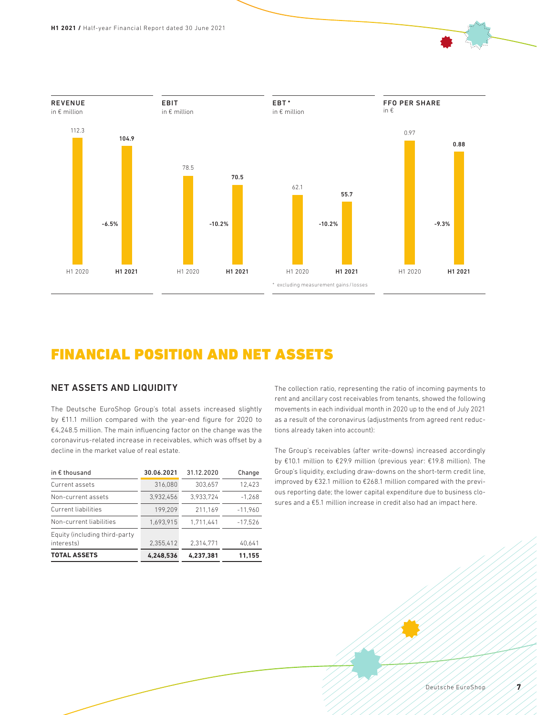

## FINANCIAL POSITION AND NET ASSETS

## NET ASSETS AND LIQUIDITY

The Deutsche EuroShop Group's total assets increased slightly by €11.1 million compared with the year-end figure for 2020 to €4,248.5 million. The main influencing factor on the change was the coronavirus-related increase in receivables, which was offset by a decline in the market value of real estate.

| in $\epsilon$ thousand                      | 30.06.2021 | 31.12.2020 | Change    |
|---------------------------------------------|------------|------------|-----------|
| Current assets                              | 316.080    | 303.657    | 12.423    |
| Non-current assets                          | 3.932.456  | 3.933.724  | $-1.268$  |
| <b>Current liabilities</b>                  | 199.209    | 211.169    | $-11.960$ |
| Non-current liabilities                     | 1.693.915  | 1.711.441  | $-17.526$ |
| Equity (including third-party<br>interests) | 2.355.412  | 2.314.771  | 40.641    |
| <b>TOTAL ASSETS</b>                         | 4.248.536  | 4.237.381  | 11.155    |

The collection ratio, representing the ratio of incoming payments to rent and ancillary cost receivables from tenants, showed the following movements in each individual month in 2020 up to the end of July 2021 as a result of the coronavirus (adjustments from agreed rent reductions already taken into account):

The Group's receivables (after write-downs) increased accordingly by €10.1 million to €29.9 million (previous year: €19.8 million). The Group's liquidity, excluding draw-downs on the short-term credit line, improved by €32.1 million to €268.1 million compared with the previous reporting date; the lower capital expenditure due to business closures and a €5.1 million increase in credit also had an impact here.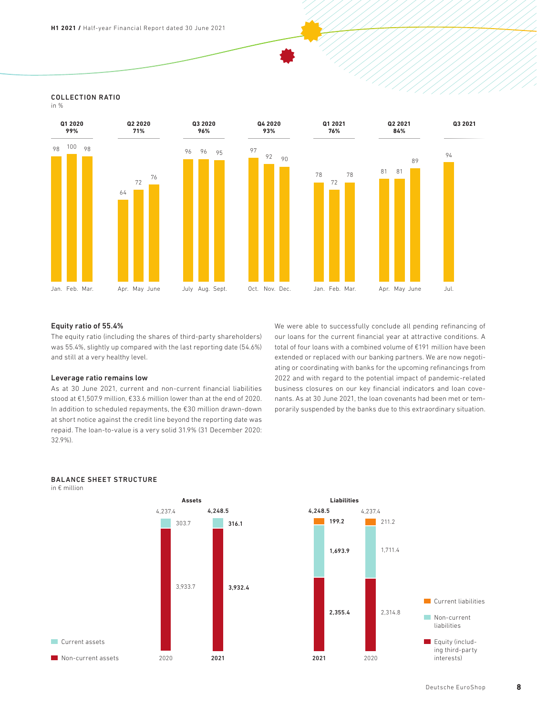## COLLECTION RATIO

in %



#### Equity ratio of 55.4%

The equity ratio (including the shares of third-party shareholders) was 55.4%, slightly up compared with the last reporting date (54.6%) and still at a very healthy level.

#### Leverage ratio remains low

As at 30 June 2021, current and non-current financial liabilities stood at €1,507.9 million, €33.6 million lower than at the end of 2020. In addition to scheduled repayments, the €30 million drawn-down at short notice against the credit line beyond the reporting date was repaid. The loan-to-value is a very solid 31.9% (31 December 2020: 32.9%).

We were able to successfully conclude all pending refinancing of our loans for the current financial year at attractive conditions. A total of four loans with a combined volume of €191 million have been extended or replaced with our banking partners. We are now negotiating or coordinating with banks for the upcoming refinancings from 2022 and with regard to the potential impact of pandemic-related business closures on our key financial indicators and loan covenants. As at 30 June 2021, the loan covenants had been met or temporarily suspended by the banks due to this extraordinary situation.



## BALANCE SHEET STRUCTURE

in € million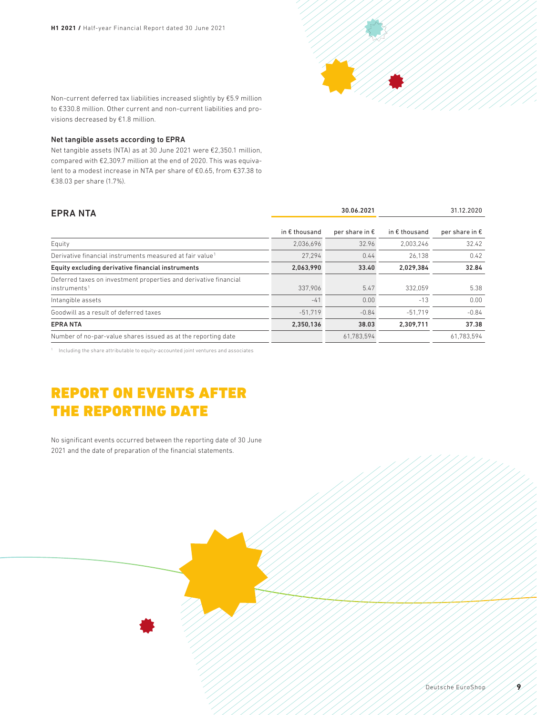

Non-current deferred tax liabilities increased slightly by €5.9 million to €330.8 million. Other current and non-current liabilities and provisions decreased by €1.8 million.

#### Net tangible assets according to EPRA

Net tangible assets (NTA) as at 30 June 2021 were €2,350.1 million, compared with €2,309.7 million at the end of 2020. This was equivalent to a modest increase in NTA per share of €0.65, from €37.38 to €38.03 per share (1.7%).

| <b>EPRA NTA</b>                                                                              |                        | 30.06.2021              | 31.12.2020             |                         |  |
|----------------------------------------------------------------------------------------------|------------------------|-------------------------|------------------------|-------------------------|--|
|                                                                                              | in $\epsilon$ thousand | per share in $\epsilon$ | in $\epsilon$ thousand | per share in $\epsilon$ |  |
| Equity                                                                                       | 2.036.696              | 32.96                   | 2.003.246              | 32.42                   |  |
| Derivative financial instruments measured at fair value <sup>1</sup>                         | 27.294                 | 0.44                    | 26.138                 | 0.42                    |  |
| Equity excluding derivative financial instruments                                            | 2,063,990              | 33.40                   | 2.029.384              | 32.84                   |  |
| Deferred taxes on investment properties and derivative financial<br>instruments <sup>1</sup> | 337.906                | 5.47                    | 332.059                | 5.38                    |  |
| Intangible assets                                                                            | $-41$                  | 0.00                    | $-13$                  | 0.00                    |  |
| Goodwill as a result of deferred taxes                                                       | $-51.719$              | $-0.84$                 | $-51.719$              | $-0.84$                 |  |
| <b>EPRANTA</b>                                                                               | 2,350,136              | 38.03                   | 2.309.711              | 37.38                   |  |
| Number of no-par-value shares issued as at the reporting date                                |                        | 61,783,594              |                        | 61,783,594              |  |

<sup>1</sup> Including the share attributable to equity-accounted joint ventures and associates

## REPORT ON EVENTS AFTER THE REPORTING DATE

No significant events occurred between the reporting date of 30 June 2021 and the date of preparation of the financial statements.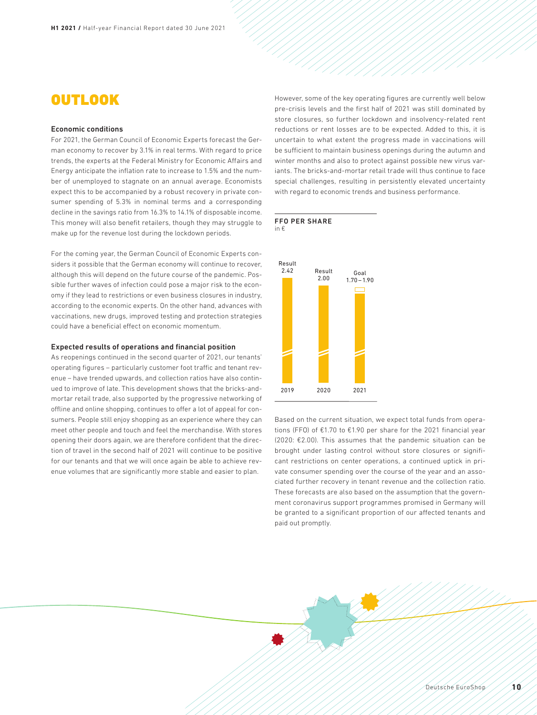## **OUTLOOK**

#### Economic conditions

For 2021, the German Council of Economic Experts forecast the German economy to recover by 3.1% in real terms. With regard to price trends, the experts at the Federal Ministry for Economic Affairs and Energy anticipate the inflation rate to increase to 1.5% and the number of unemployed to stagnate on an annual average. Economists expect this to be accompanied by a robust recovery in private consumer spending of 5.3% in nominal terms and a corresponding decline in the savings ratio from 16.3% to 14.1% of disposable income. This money will also benefit retailers, though they may struggle to make up for the revenue lost during the lockdown periods.

For the coming year, the German Council of Economic Experts considers it possible that the German economy will continue to recover, although this will depend on the future course of the pandemic. Possible further waves of infection could pose a major risk to the economy if they lead to restrictions or even business closures in industry, according to the economic experts. On the other hand, advances with vaccinations, new drugs, improved testing and protection strategies could have a beneficial effect on economic momentum.

#### Expected results of operations and financial position

As reopenings continued in the second quarter of 2021, our tenants' operating figures – particularly customer foot traffic and tenant revenue – have trended upwards, and collection ratios have also continued to improve of late. This development shows that the bricks-andmortar retail trade, also supported by the progressive networking of offline and online shopping, continues to offer a lot of appeal for consumers. People still enjoy shopping as an experience where they can meet other people and touch and feel the merchandise. With stores opening their doors again, we are therefore confident that the direction of travel in the second half of 2021 will continue to be positive for our tenants and that we will once again be able to achieve revenue volumes that are significantly more stable and easier to plan.

However, some of the key operating figures are currently well below pre-crisis levels and the first half of 2021 was still dominated by store closures, so further lockdown and insolvency-related rent reductions or rent losses are to be expected. Added to this, it is uncertain to what extent the progress made in vaccinations will be sufficient to maintain business openings during the autumn and winter months and also to protect against possible new virus variants. The bricks-and-mortar retail trade will thus continue to face special challenges, resulting in persistently elevated uncertainty with regard to economic trends and business performance.

#### FFO PER SHARE in €



Based on the current situation, we expect total funds from operations (FFO) of €1.70 to €1.90 per share for the 2021 financial year (2020: €2.00). This assumes that the pandemic situation can be brought under lasting control without store closures or significant restrictions on center operations, a continued uptick in private consumer spending over the course of the year and an associated further recovery in tenant revenue and the collection ratio. These forecasts are also based on the assumption that the government coronavirus support programmes promised in Germany will be granted to a significant proportion of our affected tenants and paid out promptly.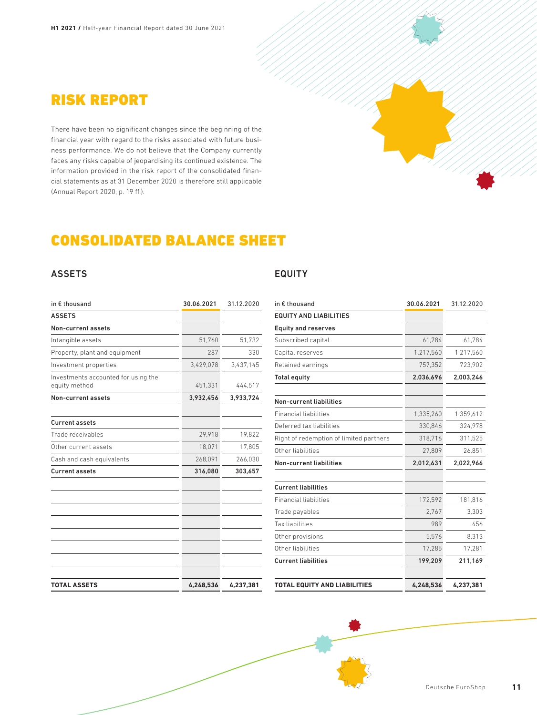

There have been no significant changes since the beginning of the financial year with regard to the risks associated with future business performance. We do not believe that the Company currently faces any risks capable of jeopardising its continued existence. The information provided in the risk report of the consolidated financial statements as at 31 December 2020 is therefore still applicable (Annual Report 2020, p. 19 ff.).



## CONSOLIDATED BALANCE SHEET

## ASSETS

| in € thousand                                        | 30.06.2021 | 31.12.2020 |
|------------------------------------------------------|------------|------------|
| <b>ASSETS</b>                                        |            |            |
| Non-current assets                                   |            |            |
| Intangible assets                                    | 51,760     | 51,732     |
| Property, plant and equipment                        | 287        | 330        |
| Investment properties                                | 3,429,078  | 3,437,145  |
| Investments accounted for using the<br>equity method | 451,331    | 444,517    |
| Non-current assets                                   | 3,932,456  | 3,933,724  |
| <b>Current assets</b>                                |            |            |
| Trade receivables                                    | 29,918     | 19,822     |
| Other current assets                                 | 18,071     | 17,805     |
| Cash and cash equivalents                            | 268,091    | 266,030    |
| <b>Current assets</b>                                | 316,080    | 303,657    |
|                                                      |            |            |
|                                                      |            |            |
|                                                      |            |            |
| <b>TOTAL ASSETS</b>                                  | 4,248,536  | 4,237,381  |

## EQUITY

| in € thousand                           | 30.06.2021 | 31.12.2020 |
|-----------------------------------------|------------|------------|
| <b>EQUITY AND LIABILITIES</b>           |            |            |
| <b>Equity and reserves</b>              |            |            |
| Subscribed capital                      | 61.784     | 61,784     |
| Capital reserves                        | 1,217,560  | 1,217,560  |
| Retained earnings                       | 757,352    | 723,902    |
| Total equity                            | 2,036,696  | 2,003,246  |
| Non-current liabilities                 |            |            |
| <b>Financial liabilities</b>            | 1,335,260  | 1,359,612  |
| Deferred tax liabilities                | 330,846    | 324,978    |
| Right of redemption of limited partners | 318,716    | 311,525    |
| Other liabilities                       | 27,809     | 26,851     |
| <b>Non-current liabilities</b>          | 2,012,631  | 2,022,966  |
| <b>Current liabilities</b>              |            |            |
| <b>Financial liabilities</b>            | 172,592    | 181,816    |
| Trade payables                          | 2,767      | 3,303      |
| Tax liabilities                         | 989        | 456        |
| Other provisions                        | 5.576      | 8.313      |
| Other liabilities                       | 17,285     | 17,281     |
| <b>Current liabilities</b>              | 199,209    | 211,169    |
|                                         |            |            |
| <b>TOTAL EQUITY AND LIABILITIES</b>     | 4.248.536  | 4,237,381  |

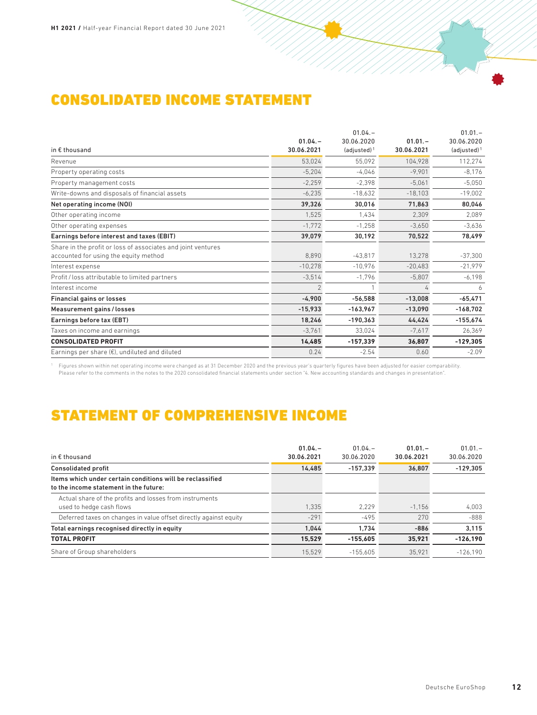## CONSOLIDATED INCOME STATEMENT

|                                                              |                          | $01.04. -$     |            | $01.01 -$      |
|--------------------------------------------------------------|--------------------------|----------------|------------|----------------|
|                                                              | $01.04. -$               | 30.06.2020     | $01.01 -$  | 30.06.2020     |
| in $E$ thousand                                              | 30.06.2021               | $(adjusted)^1$ | 30.06.2021 | $(adjusted)^1$ |
| Revenue                                                      | 53,024                   | 55,092         | 104,928    | 112,274        |
| Property operating costs                                     | $-5,204$                 | $-4,046$       | $-9,901$   | $-8,176$       |
| Property management costs                                    | $-2,259$                 | $-2,398$       | $-5.061$   | $-5,050$       |
| Write-downs and disposals of financial assets                | $-6,235$                 | $-18,632$      | $-18,103$  | $-19,002$      |
| Net operating income (NOI)                                   | 39,326                   | 30,016         | 71,863     | 80,046         |
| Other operating income                                       | 1,525                    | 1.434          | 2,309      | 2,089          |
| Other operating expenses                                     | $-1,772$                 | $-1,258$       | $-3.650$   | $-3,636$       |
| Earnings before interest and taxes (EBIT)                    | 39,079                   | 30,192         | 70,522     | 78,499         |
| Share in the profit or loss of associates and joint ventures |                          |                |            |                |
| accounted for using the equity method                        | 8,890                    | $-43,817$      | 13,278     | $-37,300$      |
| Interest expense                                             | $-10,278$                | $-10.976$      | $-20,483$  | $-21,979$      |
| Profit / loss attributable to limited partners               | $-3,514$                 | $-1,796$       | $-5,807$   | $-6,198$       |
| Interest income                                              | $\overline{\phantom{a}}$ |                |            | 6              |
| <b>Financial gains or losses</b>                             | $-4,900$                 | $-56.588$      | $-13,008$  | $-65,471$      |
| Measurement gains / losses                                   | $-15,933$                | $-163,967$     | $-13,090$  | $-168.702$     |
| Earnings before tax (EBT)                                    | 18,246                   | $-190,363$     | 44,424     | $-155,674$     |
| Taxes on income and earnings                                 | $-3,761$                 | 33,024         | $-7,617$   | 26,369         |
| <b>CONSOLIDATED PROFIT</b>                                   | 14,485                   | $-157,339$     | 36,807     | $-129,305$     |
| Earnings per share $(\epsilon)$ , undiluted and diluted      | 0.24                     | $-2.54$        | 0.60       | $-2.09$        |
|                                                              |                          |                |            |                |

Figures shown within net operating income were changed as at 31 December 2020 and the previous year's quarterly figures have been adjusted for easier comparability.<br>Please refer to the comments in the notes to the 2020 con

## STATEMENT OF COMPREHENSIVE INCOME

| in $\epsilon$ thousand                                                                              | $01.04 -$<br>30.06.2021 | $01.04 -$<br>30.06.2020 | $01.01 -$<br>30.06.2021 | $01.01 -$<br>30.06.2020 |
|-----------------------------------------------------------------------------------------------------|-------------------------|-------------------------|-------------------------|-------------------------|
| <b>Consolidated profit</b>                                                                          | 14.485                  | $-157.339$              | 36.807                  | $-129.305$              |
| Items which under certain conditions will be reclassified<br>to the income statement in the future: |                         |                         |                         |                         |
| Actual share of the profits and losses from instruments<br>used to hedge cash flows                 | 1.335                   | 2.229                   | $-1.156$                | 4.003                   |
| Deferred taxes on changes in value offset directly against equity                                   | $-291$                  | $-495$                  | 270                     | $-888$                  |
| Total earnings recognised directly in equity                                                        | 1.044                   | 1.734                   | $-886$                  | 3.115                   |
| <b>TOTAL PROFIT</b>                                                                                 | 15.529                  | $-155.605$              | 35.921                  | $-126.190$              |
| Share of Group shareholders                                                                         | 15.529                  | $-155.605$              | 35.921                  | $-126.190$              |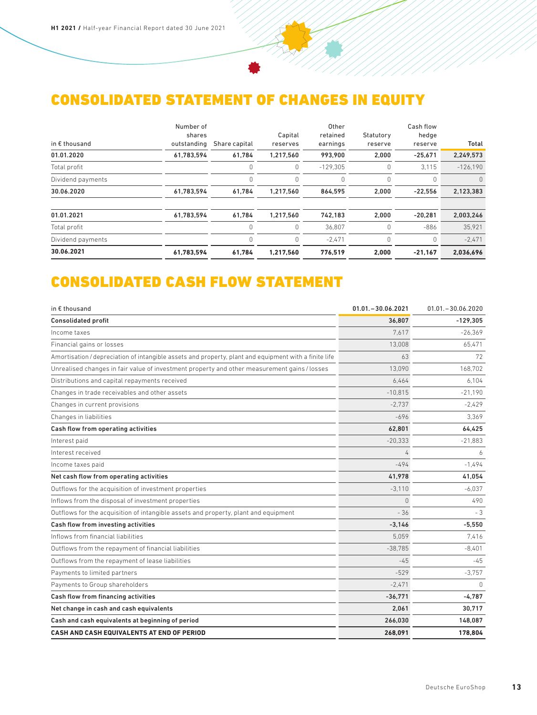## CONSOLIDATED STATEMENT OF CHANGES IN EQUITY

| in $\epsilon$ thousand | Number of<br>shares<br>outstanding | Share capital | Capital<br>reserves | Other<br>retained<br>earnings | Statutory<br>reserve | Cash flow<br>hedge<br>reserve | Total          |
|------------------------|------------------------------------|---------------|---------------------|-------------------------------|----------------------|-------------------------------|----------------|
| 01.01.2020             | 61,783,594                         | 61,784        | 1,217,560           | 993,900                       | 2,000                | $-25,671$                     | 2,249,573      |
| Total profit           |                                    | 0             | 0                   | $-129.305$                    | 0                    | 3.115                         | $-126.190$     |
| Dividend payments      |                                    | 0             | 0                   | 0                             | 0                    | 0                             | $\overline{0}$ |
| 30.06.2020             | 61,783,594                         | 61,784        | 1,217,560           | 864,595                       | 2,000                | $-22,556$                     | 2,123,383      |
| 01.01.2021             | 61,783,594                         | 61,784        | 1,217,560           | 742.183                       | 2,000                | $-20,281$                     | 2,003,246      |
| Total profit           |                                    | 0             | 0                   | 36.807                        | 0                    | $-886$                        | 35.921         |
| Dividend payments      |                                    | 0             | 0                   | $-2.471$                      | 0                    | 0                             | $-2,471$       |
| 30.06.2021             | 61,783,594                         | 61,784        | 1,217,560           | 776,519                       | 2,000                | $-21,167$                     | 2,036,696      |

# CONSOLIDATED CASH FLOW STATEMENT

| in € thousand                                                                                         | $01.01 - 30.06.2021$ | $01.01 - 30.06.2020$ |
|-------------------------------------------------------------------------------------------------------|----------------------|----------------------|
| <b>Consolidated profit</b>                                                                            | 36.807               | $-129.305$           |
| Income taxes                                                                                          | 7.617                | $-26.369$            |
| Financial gains or losses                                                                             | 13,008               | 65,471               |
| Amortisation / depreciation of intangible assets and property, plant and equipment with a finite life | 63                   | 72                   |
| Unrealised changes in fair value of investment property and other measurement gains / losses          | 13.090               | 168.702              |
| Distributions and capital repayments received                                                         | 6.464                | 6.104                |
| Changes in trade receivables and other assets                                                         | $-10.815$            | $-21.190$            |
| Changes in current provisions                                                                         | $-2.737$             | $-2.429$             |
| Changes in liabilities                                                                                | -696                 | 3.369                |
| Cash flow from operating activities                                                                   | 62,801               | 64.425               |
| Interest paid                                                                                         | $-20,333$            | $-21,883$            |
| Interest received                                                                                     | 4                    | 6                    |
| Income taxes paid                                                                                     | $-494$               | $-1.494$             |
| Net cash flow from operating activities                                                               | 41,978               | 41,054               |
| Outflows for the acquisition of investment properties                                                 | $-3.110$             | $-6.037$             |
| Inflows from the disposal of investment properties                                                    | 0                    | 490                  |
| Outflows for the acquisition of intangible assets and property, plant and equipment                   | $-36$                | - 3                  |
| Cash flow from investing activities                                                                   | $-3.146$             | $-5.550$             |
| Inflows from financial liabilities                                                                    | 5,059                | 7,416                |
| Outflows from the repayment of financial liabilities                                                  | $-38,785$            | $-8,401$             |
| Outflows from the repayment of lease liabilities                                                      | $-45$                | $-45$                |
| Payments to limited partners                                                                          | $-529$               | $-3,757$             |
| Payments to Group shareholders                                                                        | $-2.471$             | $\Omega$             |
| Cash flow from financing activities                                                                   | $-36,771$            | $-4,787$             |
| Net change in cash and cash equivalents                                                               | 2,061                | 30,717               |
| Cash and cash equivalents at beginning of period                                                      | 266.030              | 148.087              |
| CASH AND CASH EQUIVALENTS AT END OF PERIOD                                                            | 268.091              | 178,804              |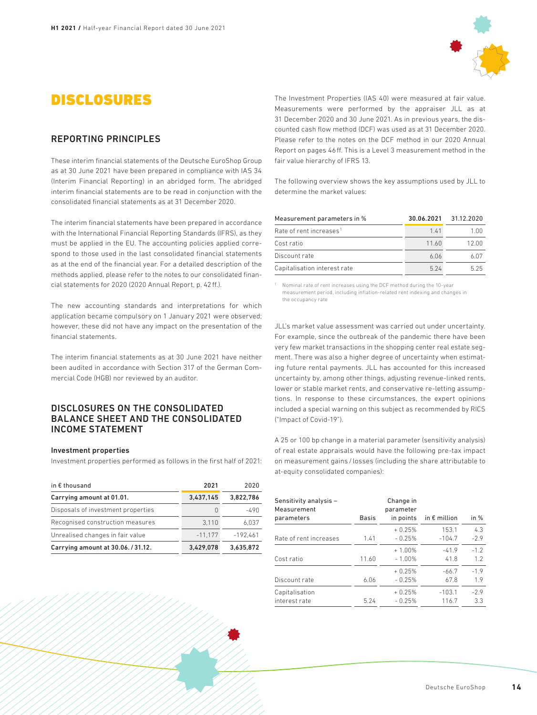## DISCLOSURES

### REPORTING PRINCIPLES

These interim financial statements of the Deutsche EuroShop Group as at 30 June 2021 have been prepared in compliance with IAS 34 (Interim Financial Reporting) in an abridged form. The abridged interim financial statements are to be read in conjunction with the consolidated financial statements as at 31 December 2020.

The interim financial statements have been prepared in accordance with the International Financial Reporting Standards (IFRS), as they must be applied in the EU. The accounting policies applied correspond to those used in the last consolidated financial statements as at the end of the financial year. For a detailed description of the methods applied, please refer to the notes to our consolidated financial statements for 2020 (2020 Annual Report, p. 42ff.).

The new accounting standards and interpretations for which application became compulsory on 1 January 2021 were observed; however, these did not have any impact on the presentation of the financial statements.

The interim financial statements as at 30 June 2021 have neither been audited in accordance with Section 317 of the German Commercial Code (HGB) nor reviewed by an auditor.

### DISCLOSURES ON THE CONSOLIDATED BALANCE SHEET AND THE CONSOLIDATED INCOME STATEMENT

#### Investment properties

Investment properties performed as follows in the first half of 2021:

| in $\epsilon$ thousand             | 2021      | 2020       |
|------------------------------------|-----------|------------|
| Carrying amount at 01.01.          | 3,437,145 | 3.822.786  |
| Disposals of investment properties | U         | $-490$     |
| Recognised construction measures   | 3.110     | 6.037      |
| Unrealised changes in fair value   | $-11.177$ | $-192.461$ |
| Carrying amount at 30.06./31.12.   | 3.429.078 | 3.635.872  |

The Investment Properties (IAS 40) were measured at fair value. Measurements were performed by the appraiser JLL as at 31 December 2020 and 30 June 2021. As in previous years, the discounted cash flow method (DCF) was used as at 31 December 2020. Please refer to the notes on the DCF method in our 2020 Annual Report on pages 46ff. This is a Level 3 measurement method in the fair value hierarchy of IFRS 13.

The following overview shows the key assumptions used by JLL to determine the market values:

| Measurement parameters in %         | 30.06.2021 | 31.12.2020 |
|-------------------------------------|------------|------------|
| Rate of rent increases <sup>1</sup> | 141        | 1.00       |
| Cost ratio                          | 11.60      | 12.00      |
| Discount rate                       | 6.06       | 6.07       |
| Capitalisation interest rate        | 5 24       | 525        |

<sup>1</sup> Nominal rate of rent increases using the DCF method during the 10-year measurement period, including inflation-related rent indexing and changes in the occupancy rate

JLL's market value assessment was carried out under uncertainty. For example, since the outbreak of the pandemic there have been very few market transactions in the shopping center real estate segment. There was also a higher degree of uncertainty when estimating future rental payments. JLL has accounted for this increased uncertainty by, among other things, adjusting revenue-linked rents, lower or stable market rents, and conservative re-letting assumptions. In response to these circumstances, the expert opinions included a special warning on this subject as recommended by RICS ("Impact of Covid-19").

A 25 or 100 bp change in a material parameter (sensitivity analysis) of real estate appraisals would have the following pre-tax impact on measurement gains / losses (including the share attributable to at-equity consolidated companies):

| Sensitivity analysis -<br>Measurement |              | Change in<br>parameter |                       |        |
|---------------------------------------|--------------|------------------------|-----------------------|--------|
| parameters                            | <b>Basis</b> | in points              | in $\epsilon$ million | in %   |
|                                       |              | $+0.25%$               | 153.1                 | 4.3    |
| Rate of rent increases                | 1.41         | $-0.25%$               | $-104.7$              | $-2.9$ |
|                                       |              | $+1.00%$               | $-41.9$               | $-1.2$ |
| Cost ratio                            | 11.60        | $-1.00%$               | 41.8                  | 1.2    |
|                                       |              | $+0.25%$               | $-66.7$               | $-1.9$ |
| Discount rate                         | 6.06         | $-0.25%$               | 67.8                  | 1.9    |
| Capitalisation                        |              | $+0.25%$               | $-103.1$              | $-2.9$ |
| interest rate                         | 5.24         | $-0.25%$               | 116.7                 | 3.3    |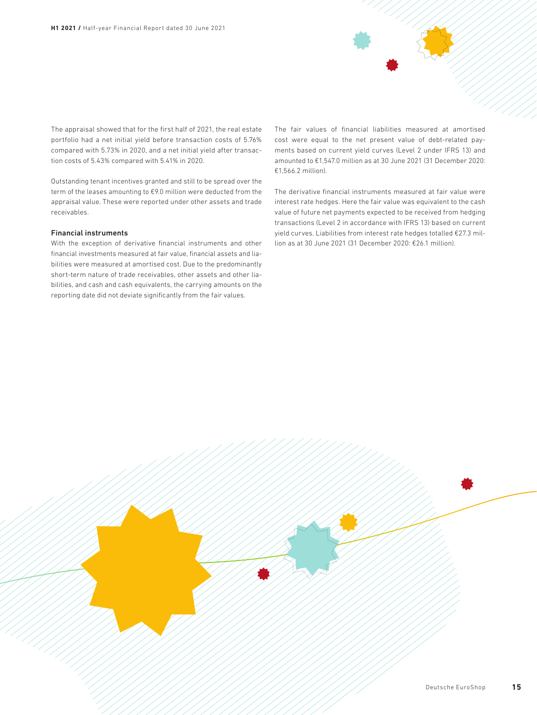The appraisal showed that for the first half of 2021, the real estate portfolio had a net initial yield before transaction costs of 5.76% compared with 5.73% in 2020, and a net initial yield after transaction costs of 5.43% compared with 5.41% in 2020.

Outstanding tenant incentives granted and still to be spread over the term of the leases amounting to €9.0 million were deducted from the appraisal value. These were reported under other assets and trade receivables.

#### Financial instruments

With the exception of derivative financial instruments and other financial investments measured at fair value, financial assets and liabilities were measured at amortised cost. Due to the predominantly short-term nature of trade receivables, other assets and other liabilities, and cash and cash equivalents, the carrying amounts on the reporting date did not deviate significantly from the fair values.

The fair values of financial liabilities measured at amortised cost were equal to the net present value of debt-related payments based on current yield curves (Level 2 under IFRS 13) and amounted to €1,547.0 million as at 30 June 2021 (31 December 2020: €1,566.2 million).

The derivative financial instruments measured at fair value were interest rate hedges. Here the fair value was equivalent to the cash value of future net payments expected to be received from hedging transactions (Level 2 in accordance with IFRS 13) based on current yield curves. Liabilities from interest rate hedges totalled €27.3 million as at 30 June 2021 (31 December 2020: €26.1 million).



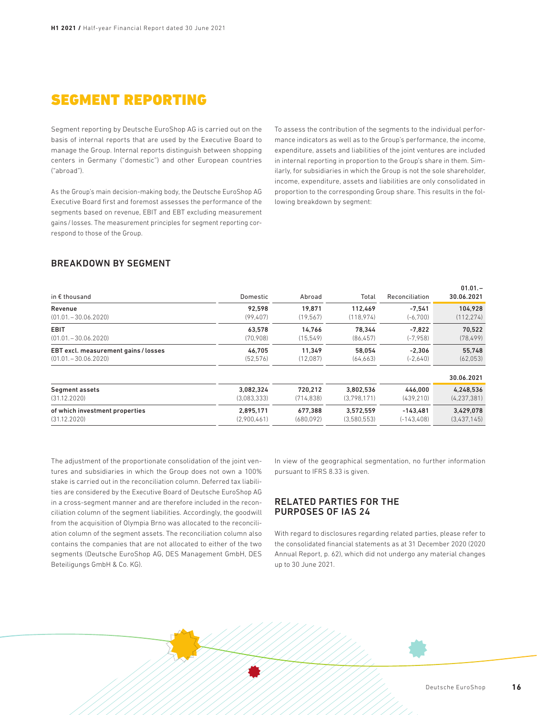## SEGMENT REPORTING

Segment reporting by Deutsche EuroShop AG is carried out on the basis of internal reports that are used by the Executive Board to manage the Group. Internal reports distinguish between shopping centers in Germany ("domestic") and other European countries ("abroad").

As the Group's main decision-making body, the Deutsche EuroShop AG Executive Board first and foremost assesses the performance of the segments based on revenue, EBIT and EBT excluding measurement gains / losses. The measurement principles for segment reporting correspond to those of the Group.

To assess the contribution of the segments to the individual performance indicators as well as to the Group's performance, the income, expenditure, assets and liabilities of the joint ventures are included in internal reporting in proportion to the Group's share in them. Similarly, for subsidiaries in which the Group is not the sole shareholder, income, expenditure, assets and liabilities are only consolidated in proportion to the corresponding Group share. This results in the following breakdown by segment:

## BREAKDOWN BY SEGMENT

| in $\epsilon$ thousand               | Domestic    | Abroad     | Total       | Reconciliation | <br>30.06.2021 |
|--------------------------------------|-------------|------------|-------------|----------------|----------------|
| Revenue                              | 92.598      | 19.871     | 112.469     | $-7.541$       | 104.928        |
| $(01.01, -30.06.2020)$               | (99.407)    | (19.567)   | (118.974)   | $(-6.700)$     | (112, 274)     |
| <b>EBIT</b>                          | 63.578      | 14.766     | 78.344      | $-7.822$       | 70.522         |
| $(01.01, -30.06.2020)$               | (70.908)    | (15, 549)  | (86, 457)   | $(-7,958)$     | (78, 499)      |
| EBT excl. measurement gains / losses | 46.705      | 11.349     | 58.054      | $-2.306$       | 55.748         |
| $(01.01, -30.06.2020)$               | (52.576)    | (12.087)   | (64.663)    | $(-2,640)$     | (62,053)       |
|                                      |             |            |             |                | 30.06.2021     |
| Segment assets                       | 3.082.324   | 720.212    | 3.802.536   | 446.000        | 4,248,536      |
| (31.12.2020)                         | (3.083.333) | (714, 838) | (3.798.171) | (439.210)      | (4, 237, 381)  |
| of which investment properties       | 2.895.171   | 677.388    | 3.572.559   | $-143.481$     | 3.429.078      |
| (31.12.2020)                         | (2,900,461) | (680,092)  | (3,580,553) | $(-143, 408)$  | (3,437,145)    |

The adjustment of the proportionate consolidation of the joint ventures and subsidiaries in which the Group does not own a 100% stake is carried out in the reconciliation column. Deferred tax liabilities are considered by the Executive Board of Deutsche EuroShop AG in a cross-segment manner and are therefore included in the reconciliation column of the segment liabilities. Accordingly, the goodwill from the acquisition of Olympia Brno was allocated to the reconciliation column of the segment assets. The reconciliation column also contains the companies that are not allocated to either of the two segments (Deutsche EuroShop AG, DES Management GmbH, DES Beteiligungs GmbH & Co. KG).

In view of the geographical segmentation, no further information pursuant to IFRS 8.33 is given.

### RELATED PARTIES FOR THE PURPOSES OF IAS 24

With regard to disclosures regarding related parties, please refer to the consolidated financial statements as at 31 December 2020 (2020 Annual Report, p. 62), which did not undergo any material changes up to 30 June 2021.

 $01.01 -$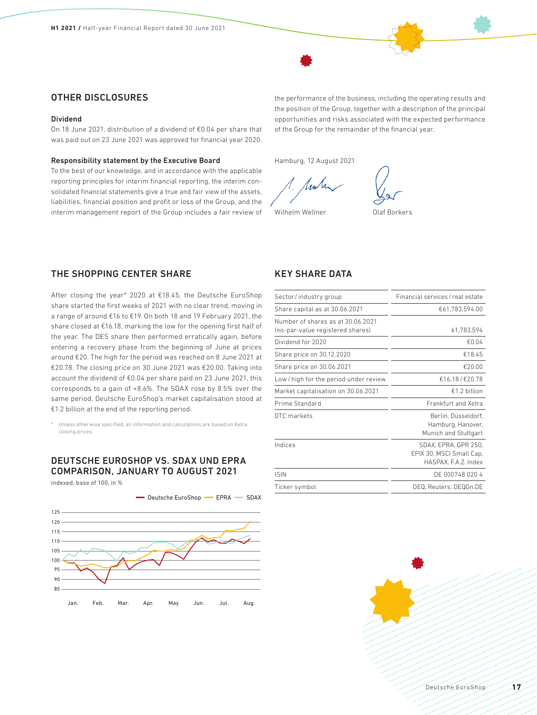### OTHER DISCLOSURES

#### Dividend

On 18 June 2021, distribution of a dividend of €0.04 per share that was paid out on 23 June 2021 was approved for financial year 2020.

#### Responsibility statement by the Executive Board

To the best of our knowledge, and in accordance with the applicable reporting principles for interim financial reporting, the interim consolidated financial statements give a true and fair view of the assets, liabilities, financial position and profit or loss of the Group, and the interim management report of the Group includes a fair review of

the performance of the business, including the operating results and the position of the Group, together with a description of the principal opportunities and risks associated with the expected performance of the Group for the remainder of the financial year.

Hamburg, 12 August 2021



Wilhelm Wellner **Olaf Borkers** 

### THE SHOPPING CENTER SHARE

After closing the year\* 2020 at €18.45, the Deutsche EuroShop share started the first weeks of 2021 with no clear trend, moving in a range of around €16 to €19. On both 18 and 19 February 2021, the share closed at €16.18, marking the low for the opening first half of the year. The DES share then performed erratically again, before entering a recovery phase from the beginning of June at prices around €20. The high for the period was reached on 8 June 2021 at €20.78. The closing price on 30 June 2021 was €20.00. Taking into account the dividend of €0.04 per share paid on 23 June 2021, this corresponds to a gain of +8.6%. The SDAX rose by 8.5% over the same period. Deutsche EuroShop's market capitalisation stood at €1.2 billion at the end of the reporting period.

\* Unless otherwise specified, all information and calculations are based on Xetra closing prices.

### DEUTSCHE EUROSHOP VS. SDAX UND EPRA COMPARISON, JANUARY TO AUGUST 2021

indexed, base of 100, in %



### KEY SHARE DATA

| Sector/industry group                                                 | Financial services / real estate                                         |
|-----------------------------------------------------------------------|--------------------------------------------------------------------------|
| Share capital as at 30.06.2021                                        | €61,783,594.00                                                           |
| Number of shares as at 30.06.2021<br>(no-par-value registered shares) | 61,783,594                                                               |
| Dividend for 2020                                                     | €0.04                                                                    |
| Share price on 30.12.2020                                             | €18.45                                                                   |
| Share price on 30.06.2021                                             | €20.00                                                                   |
| Low/high for the period under review                                  | €16.18/€20.78                                                            |
| Market capitalisation on 30.06.2021                                   | €1.2 billion                                                             |
| Prime Standard                                                        | Frankfurt and Xetra                                                      |
| OTC markets                                                           | Berlin, Düsseldorf,<br>Hamburg, Hanover,<br>Munich and Stuttgart         |
| Indices                                                               | SDAX, EPRA, GPR 250,<br>EPIX 30, MSCI Small Cap.<br>HASPAX, F.A.Z. Index |
| <b>ISIN</b>                                                           | DE 000748 020 4                                                          |
| Ticker symbol                                                         | DEQ. Reuters: DEQGn.DE                                                   |